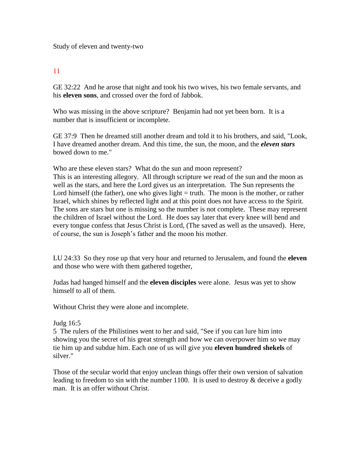Study of eleven and twenty-two

## 11

GE 32:22 And he arose that night and took his two wives, his two female servants, and his **eleven sons**, and crossed over the ford of Jabbok.

Who was missing in the above scripture? Benjamin had not yet been born. It is a number that is insufficient or incomplete.

GE 37:9 Then he dreamed still another dream and told it to his brothers, and said, "Look, I have dreamed another dream. And this time, the sun, the moon, and the *eleven stars* bowed down to me."

Who are these eleven stars? What do the sun and moon represent? This is an interesting allegory. All through scripture we read of the sun and the moon as well as the stars, and here the Lord gives us an interpretation. The Sun represents the Lord himself (the father), one who gives light  $=$  truth. The moon is the mother, or rather Israel, which shines by reflected light and at this point does not have access to the Spirit. The sons are stars but one is missing so the number is not complete. These may represent the children of Israel without the Lord. He does say later that every knee will bend and every tongue confess that Jesus Christ is Lord, (The saved as well as the unsaved). Here, of course, the sun is Joseph's father and the moon his mother.

LU 24:33 So they rose up that very hour and returned to Jerusalem, and found the **eleven**  and those who were with them gathered together,

Judas had hanged himself and the **eleven disciples** were alone. Jesus was yet to show himself to all of them.

Without Christ they were alone and incomplete.

## Judg 16:5

5 The rulers of the Philistines went to her and said, "See if you can lure him into showing you the secret of his great strength and how we can overpower him so we may tie him up and subdue him. Each one of us will give you **eleven hundred shekels** of silver."

Those of the secular world that enjoy unclean things offer their own version of salvation leading to freedom to sin with the number 1100. It is used to destroy  $\&$  deceive a godly man. It is an offer without Christ.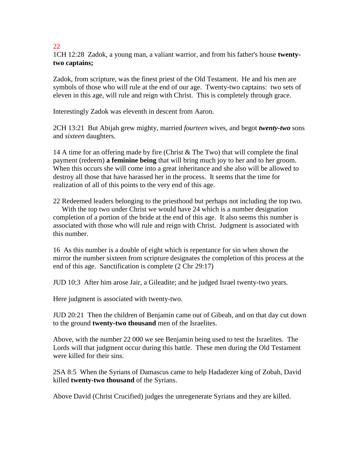## 22

1CH 12:28 Zadok, a young man, a valiant warrior, and from his father's house **twentytwo captains;**

Zadok, from scripture, was the finest priest of the Old Testament. He and his men are symbols of those who will rule at the end of our age. Twenty-two captains: two sets of eleven in this age, will rule and reign with Christ. This is completely through grace.

Interestingly Zadok was eleventh in descent from Aaron.

2CH 13:21 But Abijah grew mighty, married *fourteen* wives, and begot *twenty-two* sons and *sixteen* daughters.

14 A time for an offering made by fire (Christ & The Two) that will complete the final payment (redeem) **a feminine being** that will bring much joy to her and to her groom. When this occurs she will come into a great inheritance and she also will be allowed to destroy all those that have harassed her in the process. It seems that the time for realization of all of this points to the very end of this age.

22 Redeemed leaders belonging to the priesthood but perhaps not including the top two. With the top two under Christ we would have 24 which is a number designation completion of a portion of the bride at the end of this age. It also seems this number is associated with those who will rule and reign with Christ. Judgment is associated with this number.

16 As this number is a double of eight which is repentance for sin when shown the mirror the number sixteen from scripture designates the completion of this process at the end of this age. Sanctification is complete (2 Chr 29:17)

JUD 10:3 After him arose Jair, a Gileadite; and he judged Israel twenty-two years.

Here judgment is associated with twenty-two.

JUD 20:21 Then the children of Benjamin came out of Gibeah, and on that day cut down to the ground **twenty-two thousand** men of the Israelites.

Above, with the number 22 000 we see Benjamin being used to test the Israelites. The Lords will that judgment occur during this battle. These men during the Old Testament were killed for their sins.

2SA 8:5 When the Syrians of Damascus came to help Hadadezer king of Zobah, David killed **twenty-two thousand** of the Syrians.

Above David (Christ Crucified) judges the unregenerate Syrians and they are killed.